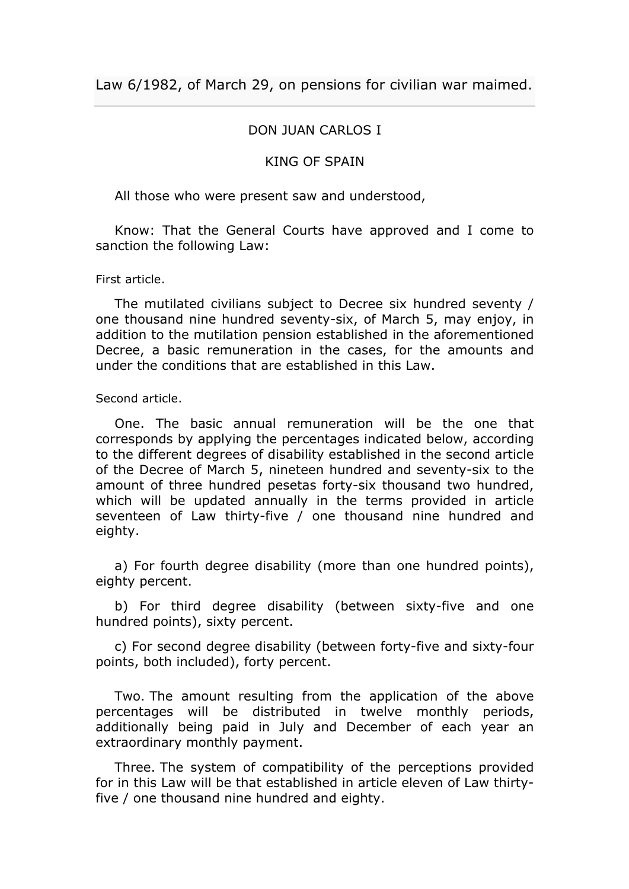# DON JUAN CARLOS I

## KING OF SPAIN

All those who were present saw and understood,

Know: That the General Courts have approved and I come to sanction the following Law:

### First article.

The mutilated civilians subject to Decree six hundred seventy / one thousand nine hundred seventy-six, of March 5, may enjoy, in addition to the mutilation pension established in the aforementioned Decree, a basic remuneration in the cases, for the amounts and under the conditions that are established in this Law.

Second article.

One. The basic annual remuneration will be the one that corresponds by applying the percentages indicated below, according to the different degrees of disability established in the second article of the Decree of March 5, nineteen hundred and seventy-six to the amount of three hundred pesetas forty-six thousand two hundred, which will be updated annually in the terms provided in article seventeen of Law thirty-five / one thousand nine hundred and eighty.

a) For fourth degree disability (more than one hundred points), eighty percent.

b) For third degree disability (between sixty-five and one hundred points), sixty percent.

c) For second degree disability (between forty-five and sixty-four points, both included), forty percent.

Two. The amount resulting from the application of the above percentages will be distributed in twelve monthly periods, additionally being paid in July and December of each year an extraordinary monthly payment.

Three. The system of compatibility of the perceptions provided for in this Law will be that established in article eleven of Law thirtyfive / one thousand nine hundred and eighty.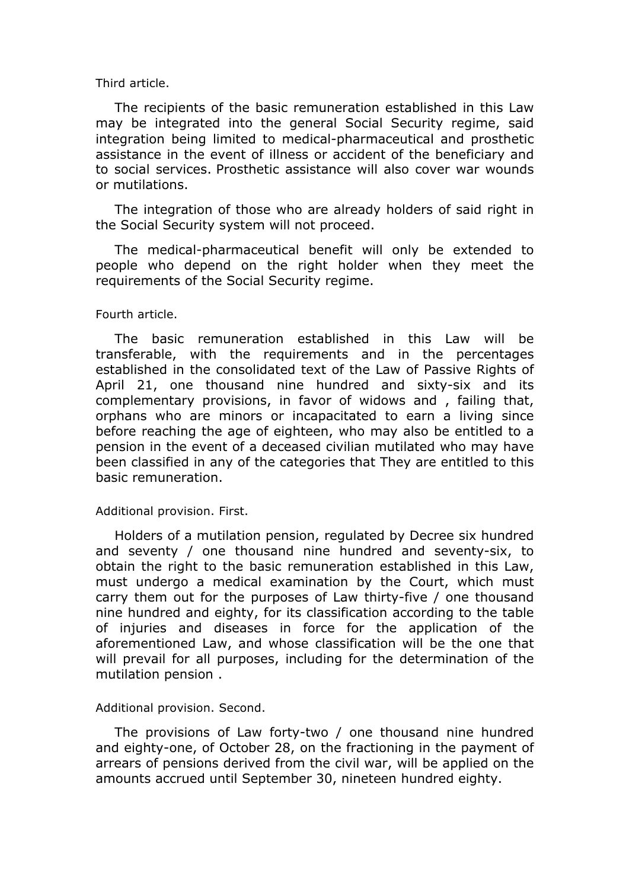### Third article.

The recipients of the basic remuneration established in this Law may be integrated into the general Social Security regime, said integration being limited to medical-pharmaceutical and prosthetic assistance in the event of illness or accident of the beneficiary and to social services. Prosthetic assistance will also cover war wounds or mutilations.

The integration of those who are already holders of said right in the Social Security system will not proceed.

The medical-pharmaceutical benefit will only be extended to people who depend on the right holder when they meet the requirements of the Social Security regime.

### Fourth article.

The basic remuneration established in this Law will be transferable, with the requirements and in the percentages established in the consolidated text of the Law of Passive Rights of April 21, one thousand nine hundred and sixty-six and its complementary provisions, in favor of widows and , failing that, orphans who are minors or incapacitated to earn a living since before reaching the age of eighteen, who may also be entitled to a pension in the event of a deceased civilian mutilated who may have been classified in any of the categories that They are entitled to this basic remuneration.

#### Additional provision. First.

Holders of a mutilation pension, regulated by Decree six hundred and seventy / one thousand nine hundred and seventy-six, to obtain the right to the basic remuneration established in this Law, must undergo a medical examination by the Court, which must carry them out for the purposes of Law thirty-five / one thousand nine hundred and eighty, for its classification according to the table of injuries and diseases in force for the application of the aforementioned Law, and whose classification will be the one that will prevail for all purposes, including for the determination of the mutilation pension .

### Additional provision. Second.

The provisions of Law forty-two / one thousand nine hundred and eighty-one, of October 28, on the fractioning in the payment of arrears of pensions derived from the civil war, will be applied on the amounts accrued until September 30, nineteen hundred eighty.